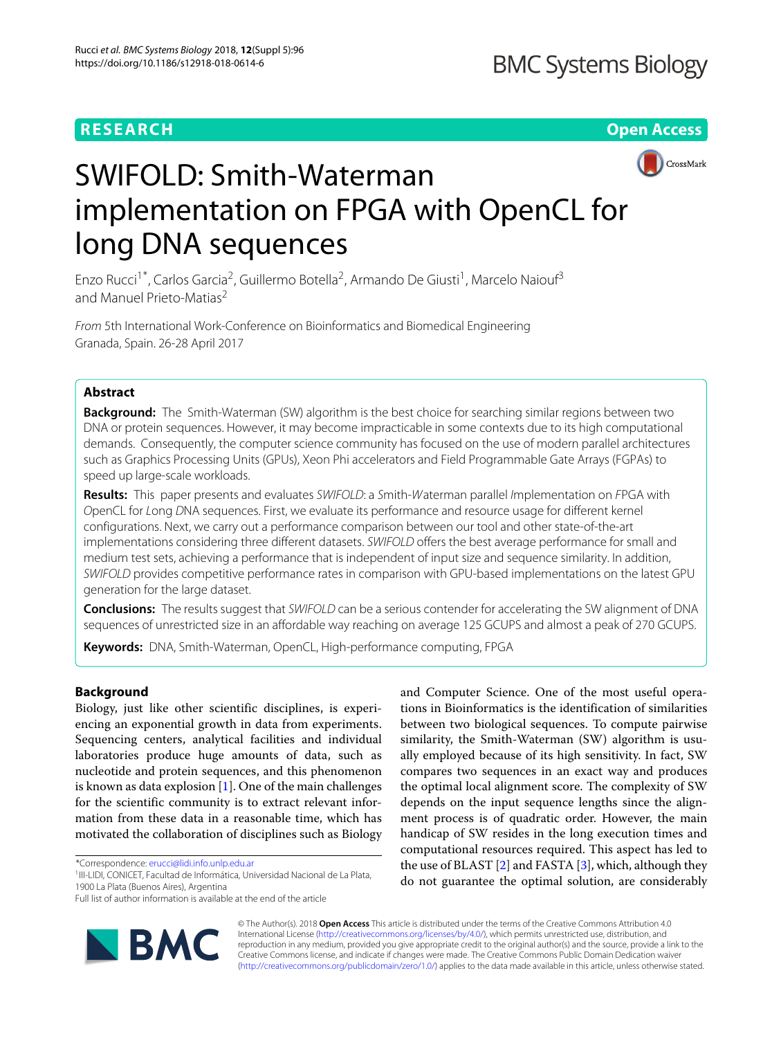**RESEARCH Open Access**



# SWIFOLD: Smith-Waterman implementation on FPGA with OpenCL for long DNA sequences

Enzo Rucci<sup>1\*</sup>, Carlos Garcia<sup>2</sup>, Guillermo Botella<sup>2</sup>, Armando De Giusti<sup>1</sup>, Marcelo Naiouf<sup>3</sup> and Manuel Prieto-Matias<sup>2</sup>

From 5th International Work-Conference on Bioinformatics and Biomedical Engineering Granada, Spain. 26-28 April 2017

# **Abstract**

**Background:** The Smith-Waterman (SW) algorithm is the best choice for searching similar regions between two DNA or protein sequences. However, it may become impracticable in some contexts due to its high computational demands. Consequently, the computer science community has focused on the use of modern parallel architectures such as Graphics Processing Units (GPUs), Xeon Phi accelerators and Field Programmable Gate Arrays (FGPAs) to speed up large-scale workloads.

**Results:** This paper presents and evaluates SWIFOLD: a Smith-Waterman parallel Implementation on FPGA with OpenCL for Long DNA sequences. First, we evaluate its performance and resource usage for different kernel configurations. Next, we carry out a performance comparison between our tool and other state-of-the-art implementations considering three different datasets. SWIFOLD offers the best average performance for small and medium test sets, achieving a performance that is independent of input size and sequence similarity. In addition, SWIFOLD provides competitive performance rates in comparison with GPU-based implementations on the latest GPU generation for the large dataset.

**Conclusions:** The results suggest that SWIFOLD can be a serious contender for accelerating the SW alignment of DNA sequences of unrestricted size in an affordable way reaching on average 125 GCUPS and almost a peak of 270 GCUPS.

**Keywords:** DNA, Smith-Waterman, OpenCL, High-performance computing, FPGA

# **Background**

Biology, just like other scientific disciplines, is experiencing an exponential growth in data from experiments. Sequencing centers, analytical facilities and individual laboratories produce huge amounts of data, such as nucleotide and protein sequences, and this phenomenon is known as data explosion  $[1]$ . One of the main challenges for the scientific community is to extract relevant information from these data in a reasonable time, which has motivated the collaboration of disciplines such as Biology

\*Correspondence: [erucci@lidi.info.unlp.edu.ar](mailto: erucci@lidi.info.unlp.edu.ar)

Full list of author information is available at the end of the article



and Computer Science. One of the most useful operations in Bioinformatics is the identification of similarities between two biological sequences. To compute pairwise similarity, the Smith-Waterman (SW) algorithm is usually employed because of its high sensitivity. In fact, SW compares two sequences in an exact way and produces the optimal local alignment score. The complexity of SW depends on the input sequence lengths since the alignment process is of quadratic order. However, the main handicap of SW resides in the long execution times and computational resources required. This aspect has led to the use of BLAST [\[2\]](#page-10-0) and FASTA [\[3\]](#page-10-1), which, although they do not guarantee the optimal solution, are considerably

© The Author(s). 2018 **Open Access** This article is distributed under the terms of the Creative Commons Attribution 4.0 International License [\(http://creativecommons.org/licenses/by/4.0/\)](http://creativecommons.org/licenses/by/4.0/), which permits unrestricted use, distribution, and reproduction in any medium, provided you give appropriate credit to the original author(s) and the source, provide a link to the Creative Commons license, and indicate if changes were made. The Creative Commons Public Domain Dedication waiver [\(http://creativecommons.org/publicdomain/zero/1.0/\)](http://creativecommons.org/publicdomain/zero/1.0/) applies to the data made available in this article, unless otherwise stated.

<sup>&</sup>lt;sup>1</sup>III-LIDI, CONICET, Facultad de Informática, Universidad Nacional de La Plata, 1900 La Plata (Buenos Aires), Argentina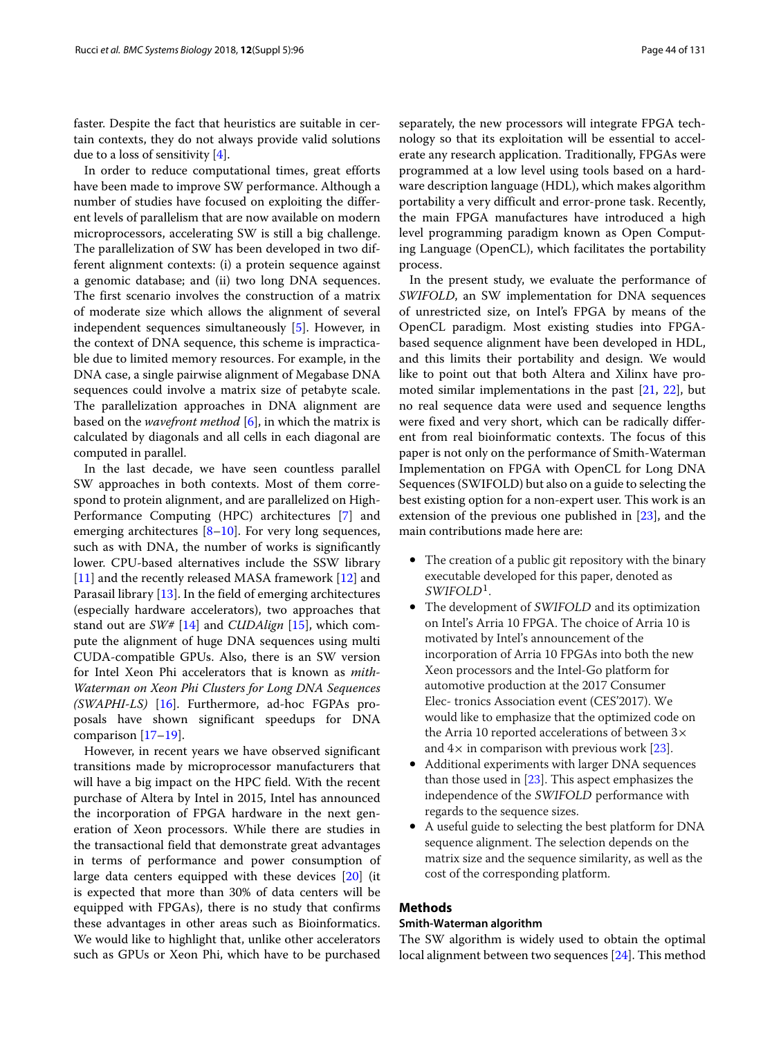faster. Despite the fact that heuristics are suitable in certain contexts, they do not always provide valid solutions due to a loss of sensitivity [\[4\]](#page-10-2).

In order to reduce computational times, great efforts have been made to improve SW performance. Although a number of studies have focused on exploiting the different levels of parallelism that are now available on modern microprocessors, accelerating SW is still a big challenge. The parallelization of SW has been developed in two different alignment contexts: (i) a protein sequence against a genomic database; and (ii) two long DNA sequences. The first scenario involves the construction of a matrix of moderate size which allows the alignment of several independent sequences simultaneously [\[5\]](#page-10-3). However, in the context of DNA sequence, this scheme is impracticable due to limited memory resources. For example, in the DNA case, a single pairwise alignment of Megabase DNA sequences could involve a matrix size of petabyte scale. The parallelization approaches in DNA alignment are based on the *wavefront method* [\[6\]](#page-10-4), in which the matrix is calculated by diagonals and all cells in each diagonal are computed in parallel.

In the last decade, we have seen countless parallel SW approaches in both contexts. Most of them correspond to protein alignment, and are parallelized on High-Performance Computing (HPC) architectures [\[7\]](#page-10-5) and emerging architectures  $[8-10]$  $[8-10]$ . For very long sequences, such as with DNA, the number of works is significantly lower. CPU-based alternatives include the SSW library [\[11\]](#page-10-8) and the recently released MASA framework [\[12\]](#page-10-9) and Parasail library [\[13\]](#page-10-10). In the field of emerging architectures (especially hardware accelerators), two approaches that stand out are *SW#* [\[14\]](#page-10-11) and *CUDAlign* [\[15\]](#page-10-12), which compute the alignment of huge DNA sequences using multi CUDA-compatible GPUs. Also, there is an SW version for Intel Xeon Phi accelerators that is known as *mith-Waterman on Xeon Phi Clusters for Long DNA Sequences (SWAPHI-LS)* [\[16\]](#page-10-13). Furthermore, ad-hoc FGPAs proposals have shown significant speedups for DNA comparison [\[17–](#page-10-14)[19\]](#page-10-15).

However, in recent years we have observed significant transitions made by microprocessor manufacturers that will have a big impact on the HPC field. With the recent purchase of Altera by Intel in 2015, Intel has announced the incorporation of FPGA hardware in the next generation of Xeon processors. While there are studies in the transactional field that demonstrate great advantages in terms of performance and power consumption of large data centers equipped with these devices [\[20\]](#page-10-16) (it is expected that more than 30% of data centers will be equipped with FPGAs), there is no study that confirms these advantages in other areas such as Bioinformatics. We would like to highlight that, unlike other accelerators such as GPUs or Xeon Phi, which have to be purchased

separately, the new processors will integrate FPGA technology so that its exploitation will be essential to accelerate any research application. Traditionally, FPGAs were programmed at a low level using tools based on a hardware description language (HDL), which makes algorithm portability a very difficult and error-prone task. Recently, the main FPGA manufactures have introduced a high level programming paradigm known as Open Computing Language (OpenCL), which facilitates the portability process.

In the present study, we evaluate the performance of *SWIFOLD*, an SW implementation for DNA sequences of unrestricted size, on Intel's FPGA by means of the OpenCL paradigm. Most existing studies into FPGAbased sequence alignment have been developed in HDL, and this limits their portability and design. We would like to point out that both Altera and Xilinx have promoted similar implementations in the past  $[21, 22]$  $[21, 22]$  $[21, 22]$ , but no real sequence data were used and sequence lengths were fixed and very short, which can be radically different from real bioinformatic contexts. The focus of this paper is not only on the performance of Smith-Waterman Implementation on FPGA with OpenCL for Long DNA Sequences (SWIFOLD) but also on a guide to selecting the best existing option for a non-expert user. This work is an extension of the previous one published in [\[23\]](#page-10-19), and the main contributions made here are:

- The creation of a public git repository with the binary executable developed for this paper, denoted as  $SWIFOLD<sup>1</sup>$ .
- The development of SWIFOLD and its optimization on Intel's Arria 10 FPGA. The choice of Arria 10 is motivated by Intel's announcement of the incorporation of Arria 10 FPGAs into both the new Xeon processors and the Intel-Go platform for automotive production at the 2017 Consumer Elec- tronics Association event (CES'2017). We would like to emphasize that the optimized code on the Arria 10 reported accelerations of between  $3\times$ and  $4\times$  in comparison with previous work [\[23\]](#page-10-19).
- Additional experiments with larger DNA sequences than those used in  $[23]$ . This aspect emphasizes the independence of the SWIFOLD performance with regards to the sequence sizes.
- A useful guide to selecting the best platform for DNA sequence alignment. The selection depends on the matrix size and the sequence similarity, as well as the cost of the corresponding platform.

## **Methods**

# <span id="page-1-0"></span>**Smith-Waterman algorithm**

The SW algorithm is widely used to obtain the optimal local alignment between two sequences [\[24\]](#page-10-20). This method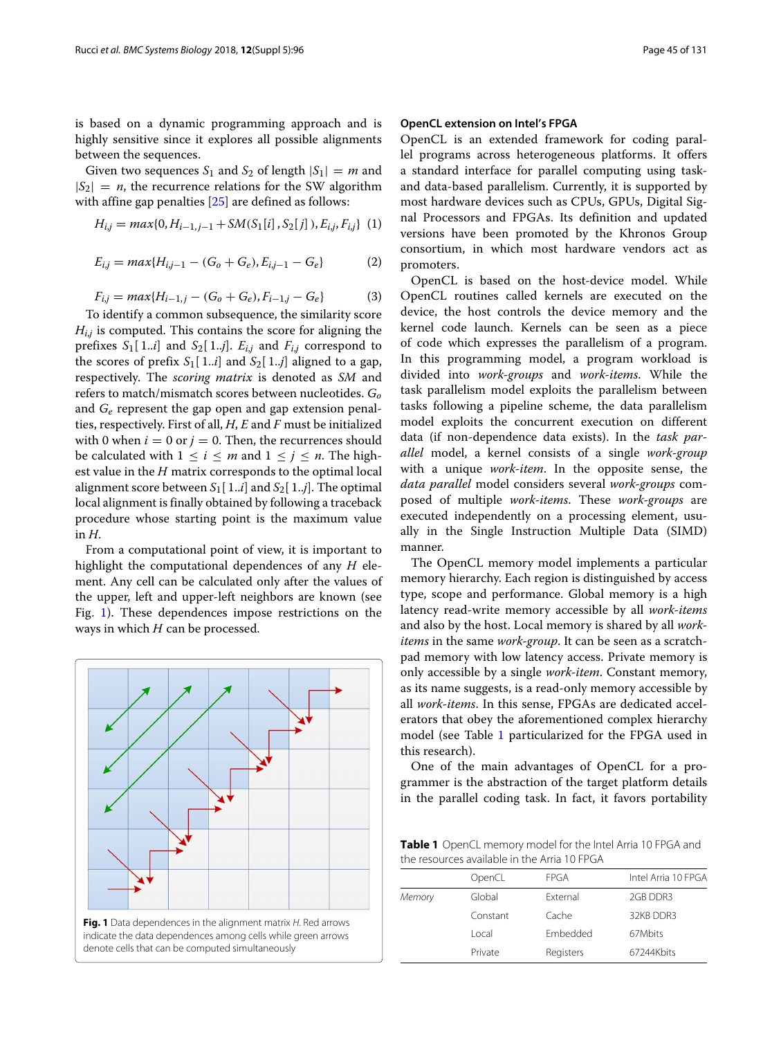is based on a dynamic programming approach and is highly sensitive since it explores all possible alignments between the sequences.

Given two sequences  $S_1$  and  $S_2$  of length  $|S_1| = m$  and  $|S_2| = n$ , the recurrence relations for the SW algorithm with affine gap penalties [\[25\]](#page-10-21) are defined as follows:

$$
H_{i,j} = max\{0, H_{i-1,j-1} + SM(S_1[i], S_2[j]), E_{i,j}, F_{i,j}\} (1)
$$

$$
E_{i,j} = max\{H_{i,j-1} - (G_o + G_e), E_{i,j-1} - G_e\}
$$
 (2)

$$
F_{i,j} = max\{H_{i-1,j} - (G_o + G_e), F_{i-1,j} - G_e\}
$$
 (3)

To identify a common subsequence, the similarity score *H<sub>ij</sub>* is computed. This contains the score for aligning the prefixes  $S_1[1..i]$  and  $S_2[1..j]$ .  $E_{i,j}$  and  $F_{i,j}$  correspond to the scores of prefix  $S_1[1..i]$  and  $S_2[1..j]$  aligned to a gap, respectively. The *scoring matrix* is denoted as *SM* and refers to match/mismatch scores between nucleotides. *Go* and *Ge* represent the gap open and gap extension penalties, respectively. First of all, *H*, *E* and *F* must be initialized with 0 when  $i = 0$  or  $j = 0$ . Then, the recurrences should be calculated with  $1 \le i \le m$  and  $1 \le j \le n$ . The highest value in the *H* matrix corresponds to the optimal local alignment score between  $S_1[1..i]$  and  $S_2[1..j]$ . The optimal local alignment is finally obtained by following a traceback procedure whose starting point is the maximum value in *H*.

From a computational point of view, it is important to highlight the computational dependences of any *H* element. Any cell can be calculated only after the values of the upper, left and upper-left neighbors are known (see Fig. [1\)](#page-2-0). These dependences impose restrictions on the ways in which *H* can be processed.

<span id="page-2-0"></span>

#### <span id="page-2-2"></span>**OpenCL extension on Intel's FPGA**

OpenCL is an extended framework for coding parallel programs across heterogeneous platforms. It offers a standard interface for parallel computing using taskand data-based parallelism. Currently, it is supported by most hardware devices such as CPUs, GPUs, Digital Signal Processors and FPGAs. Its definition and updated versions have been promoted by the Khronos Group consortium, in which most hardware vendors act as promoters.

OpenCL is based on the host-device model. While OpenCL routines called kernels are executed on the device, the host controls the device memory and the kernel code launch. Kernels can be seen as a piece of code which expresses the parallelism of a program. In this programming model, a program workload is divided into *work-groups* and *work-items*. While the task parallelism model exploits the parallelism between tasks following a pipeline scheme, the data parallelism model exploits the concurrent execution on different data (if non-dependence data exists). In the *task parallel* model, a kernel consists of a single *work-group* with a unique *work-item*. In the opposite sense, the *data parallel* model considers several *work-groups* composed of multiple *work-items*. These *work-groups* are executed independently on a processing element, usually in the Single Instruction Multiple Data (SIMD) manner.

The OpenCL memory model implements a particular memory hierarchy. Each region is distinguished by access type, scope and performance. Global memory is a high latency read-write memory accessible by all *work-items* and also by the host. Local memory is shared by all *workitems* in the same *work-group*. It can be seen as a scratchpad memory with low latency access. Private memory is only accessible by a single *work-item*. Constant memory, as its name suggests, is a read-only memory accessible by all *work-items*. In this sense, FPGAs are dedicated accelerators that obey the aforementioned complex hierarchy model (see Table [1](#page-2-1) particularized for the FPGA used in this research).

One of the main advantages of OpenCL for a programmer is the abstraction of the target platform details in the parallel coding task. In fact, it favors portability

<span id="page-2-1"></span>**Table 1** OpenCL memory model for the Intel Arria 10 FPGA and the resources available in the Arria 10 FPGA

| OpenCL   | <b>FPGA</b>     | Intel Arria 10 FPGA |
|----------|-----------------|---------------------|
| Global   | External        | 2GB DDR3            |
| Constant | Cache           | 32KB DDR3           |
| Local    | <b>Embedded</b> | 67Mbits             |
| Private  | Registers       | 67244Kbits          |
|          |                 |                     |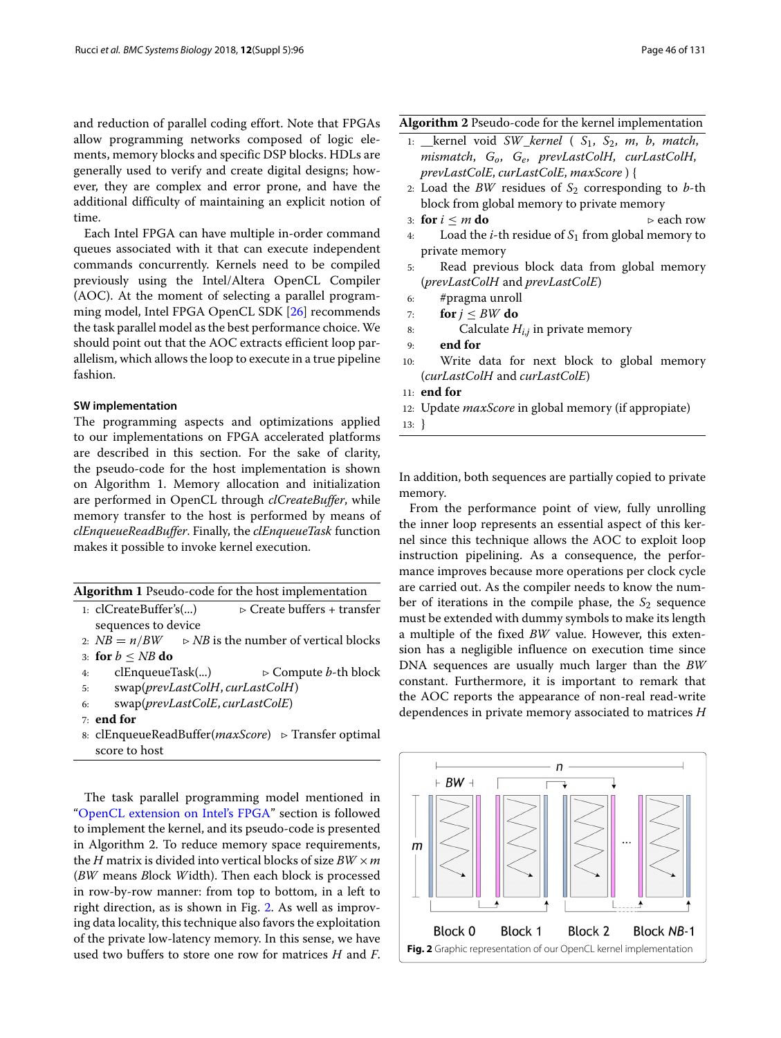and reduction of parallel coding effort. Note that FPGAs allow programming networks composed of logic elements, memory blocks and specific DSP blocks. HDLs are generally used to verify and create digital designs; however, they are complex and error prone, and have the additional difficulty of maintaining an explicit notion of time.

Each Intel FPGA can have multiple in-order command queues associated with it that can execute independent commands concurrently. Kernels need to be compiled previously using the Intel/Altera OpenCL Compiler (AOC). At the moment of selecting a parallel programming model, Intel FPGA OpenCL SDK [\[26\]](#page-10-22) recommends the task parallel model as the best performance choice. We should point out that the AOC extracts efficient loop parallelism, which allows the loop to execute in a true pipeline fashion.

# **SW implementation**

The programming aspects and optimizations applied to our implementations on FPGA accelerated platforms are described in this section. For the sake of clarity, the pseudo-code for the host implementation is shown on Algorithm 1. Memory allocation and initialization are performed in OpenCL through *clCreateBuffer*, while memory transfer to the host is performed by means of *clEnqueueReadBuffer*. Finally, the *clEnqueueTask* function makes it possible to invoke kernel execution.

| Algorithm 1 Pseudo-code for the host implementation |  |
|-----------------------------------------------------|--|
|-----------------------------------------------------|--|

- 1:  $clCreateBuffer's(...)$   $\triangleright$  Create buffers + transfer sequences to device
- 2:  $NB = n/BW$   $\Rightarrow NB$  is the number of vertical blocks
- 3: **for**  $b \le NB$  **do**<br>4: **clEnqueueTask(...)** 4: clEnqueueTask(...) Compute *b*-th block
- 5: swap(*prevLastColH*, *curLastColH*)
- 6: swap(*prevLastColE*, *curLastColE*)
- 7: **end for**
- 8: clEnqueueReadBuffer(*maxScore*) ⊳ Transfer optimal score to host

The task parallel programming model mentioned in ["OpenCL extension on Intel's FPGA"](#page-2-2) section is followed to implement the kernel, and its pseudo-code is presented in Algorithm 2. To reduce memory space requirements, the *H* matrix is divided into vertical blocks of size *BW* ×*m* (*BW* means *B*lock *W*idth). Then each block is processed in row-by-row manner: from top to bottom, in a left to right direction, as is shown in Fig. [2.](#page-3-0) As well as improving data locality, this technique also favors the exploitation of the private low-latency memory. In this sense, we have used two buffers to store one row for matrices *H* and *F*.

# **Algorithm 2** Pseudo-code for the kernel implementation

- 1: \_\_kernel void *SW*\_*kernel* ( *S*1, *S*2, *m*, *b*, *match*, *mismatch*, *Go*, *Ge*, *prevLastColH*, *curLastColH*, *prevLastColE*, *curLastColE*, *maxScore* ) {
- 2: Load the *BW* residues of  $S_2$  corresponding to *b*-th block from global memory to private memory
- 3: **for**  $i \le m$  **do**  $\ge$  each row  $\ge$  each row  $\ge$  **l** oad the *i*-th residue of *S*<sub>1</sub> from global memory to
- Load the *i*-th residue of  $S_1$  from global memory to private memory
- 5: Read previous block data from global memory (*prevLastColH* and *prevLastColE*)
- 6: #pragma unroll
- 7: **for**  $j \leq BW$  **do**
- 8: Calculate *Hi*,*<sup>j</sup>* in private memory
- 9: **end for**
- 10: Write data for next block to global memory (*curLastColH* and *curLastColE*)
- 11: **end for**
- 12: Update *maxScore* in global memory (if appropiate)
- 13: }

In addition, both sequences are partially copied to private memory.

From the performance point of view, fully unrolling the inner loop represents an essential aspect of this kernel since this technique allows the AOC to exploit loop instruction pipelining. As a consequence, the performance improves because more operations per clock cycle are carried out. As the compiler needs to know the number of iterations in the compile phase, the  $S_2$  sequence must be extended with dummy symbols to make its length a multiple of the fixed *BW* value. However, this extension has a negligible influence on execution time since DNA sequences are usually much larger than the *BW* constant. Furthermore, it is important to remark that the AOC reports the appearance of non-real read-write dependences in private memory associated to matrices *H*

<span id="page-3-0"></span>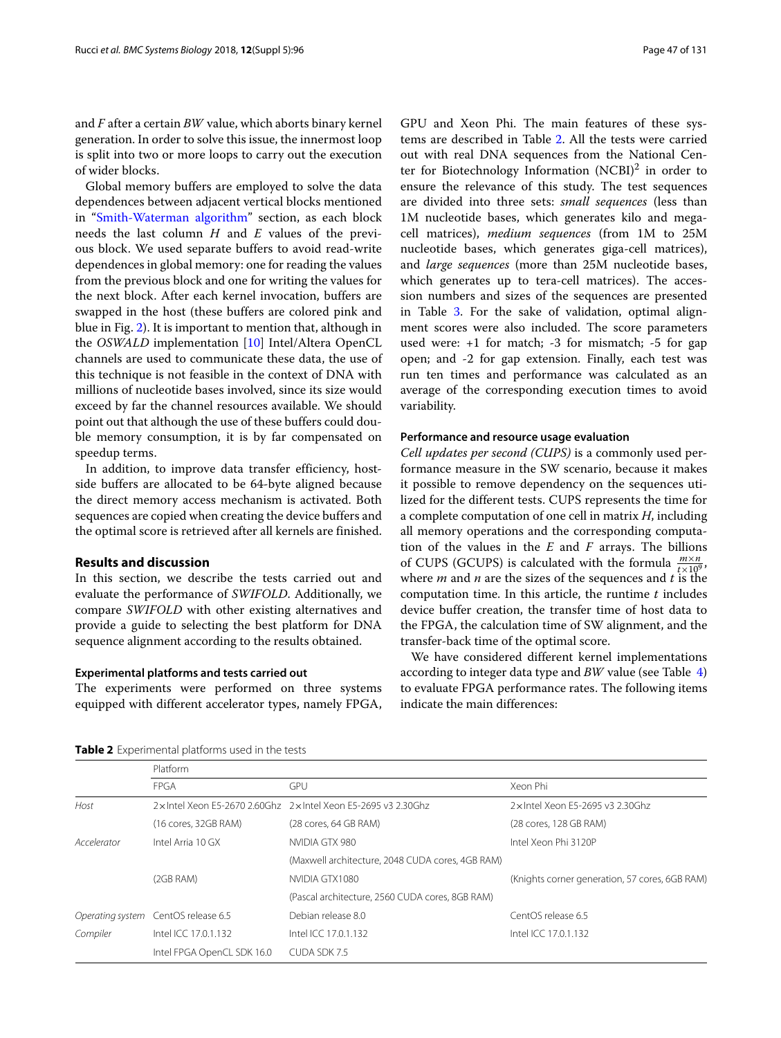and *F* after a certain *BW* value, which aborts binary kernel generation. In order to solve this issue, the innermost loop is split into two or more loops to carry out the execution of wider blocks.

Global memory buffers are employed to solve the data dependences between adjacent vertical blocks mentioned in ["Smith-Waterman algorithm"](#page-1-0) section, as each block needs the last column *H* and *E* values of the previous block. We used separate buffers to avoid read-write dependences in global memory: one for reading the values from the previous block and one for writing the values for the next block. After each kernel invocation, buffers are swapped in the host (these buffers are colored pink and blue in Fig. [2\)](#page-3-0). It is important to mention that, although in the *OSWALD* implementation [\[10\]](#page-10-7) Intel/Altera OpenCL channels are used to communicate these data, the use of this technique is not feasible in the context of DNA with millions of nucleotide bases involved, since its size would exceed by far the channel resources available. We should point out that although the use of these buffers could double memory consumption, it is by far compensated on speedup terms.

In addition, to improve data transfer efficiency, hostside buffers are allocated to be 64-byte aligned because the direct memory access mechanism is activated. Both sequences are copied when creating the device buffers and the optimal score is retrieved after all kernels are finished.

### **Results and discussion**

In this section, we describe the tests carried out and evaluate the performance of *SWIFOLD*. Additionally, we compare *SWIFOLD* with other existing alternatives and provide a guide to selecting the best platform for DNA sequence alignment according to the results obtained.

#### **Experimental platforms and tests carried out**

The experiments were performed on three systems equipped with different accelerator types, namely FPGA, GPU and Xeon Phi. The main features of these systems are described in Table [2.](#page-4-0) All the tests were carried out with real DNA sequences from the National Center for Biotechnology Information  $(NCBI)^2$  in order to ensure the relevance of this study. The test sequences are divided into three sets: *small sequences* (less than 1M nucleotide bases, which generates kilo and megacell matrices), *medium sequences* (from 1M to 25M nucleotide bases, which generates giga-cell matrices), and *large sequences* (more than 25M nucleotide bases, which generates up to tera-cell matrices). The accession numbers and sizes of the sequences are presented in Table [3.](#page-5-0) For the sake of validation, optimal alignment scores were also included. The score parameters used were: +1 for match; -3 for mismatch; -5 for gap open; and -2 for gap extension. Finally, each test was run ten times and performance was calculated as an average of the corresponding execution times to avoid variability.

#### **Performance and resource usage evaluation**

*Cell updates per second (CUPS)* is a commonly used performance measure in the SW scenario, because it makes it possible to remove dependency on the sequences utilized for the different tests. CUPS represents the time for a complete computation of one cell in matrix *H*, including all memory operations and the corresponding computation of the values in the *E* and *F* arrays. The billions of CUPS (GCUPS) is calculated with the formula  $\frac{m \times n}{t \times 10^9}$ , where *m* and *n* are the sizes of the sequences and *t* is the computation time. In this article, the runtime *t* includes device buffer creation, the transfer time of host data to the FPGA, the calculation time of SW alignment, and the transfer-back time of the optimal score.

We have considered different kernel implementations according to integer data type and *BW* value (see Table [4\)](#page-6-0) to evaluate FPGA performance rates. The following items indicate the main differences:

|             | Platform                            |                                                                  |                                                |
|-------------|-------------------------------------|------------------------------------------------------------------|------------------------------------------------|
|             | <b>FPGA</b>                         | GPU                                                              | Xeon Phi                                       |
| Host        |                                     | 2 x Intel Xeon E5-2670 2.60Ghz 2 x Intel Xeon E5-2695 v3 2.30Ghz | 2 x Intel Xeon E5-2695 v3 2.30Ghz              |
|             | (16 cores, 32GB RAM)                | (28 cores, 64 GB RAM)                                            | (28 cores, 128 GB RAM)                         |
| Accelerator | Intel Arria 10 GX                   | NVIDIA GTX 980                                                   | Intel Xeon Phi 3120P                           |
|             |                                     | (Maxwell architecture, 2048 CUDA cores, 4GB RAM)                 |                                                |
|             | (2GB RAM)                           | NVIDIA GTX1080                                                   | (Knights corner generation, 57 cores, 6GB RAM) |
|             |                                     | (Pascal architecture, 2560 CUDA cores, 8GB RAM)                  |                                                |
|             | Operating system CentOS release 6.5 | Debian release 8.0                                               | CentOS release 6.5                             |
| Compiler    | Intel ICC 17.0.1.132                | Intel ICC 17.0.1.132                                             | Intel ICC 17.0.1.132                           |
|             | Intel FPGA OpenCL SDK 16.0          | CUDA SDK 7.5                                                     |                                                |

<span id="page-4-0"></span>**Table 2** Experimental platforms used in the tests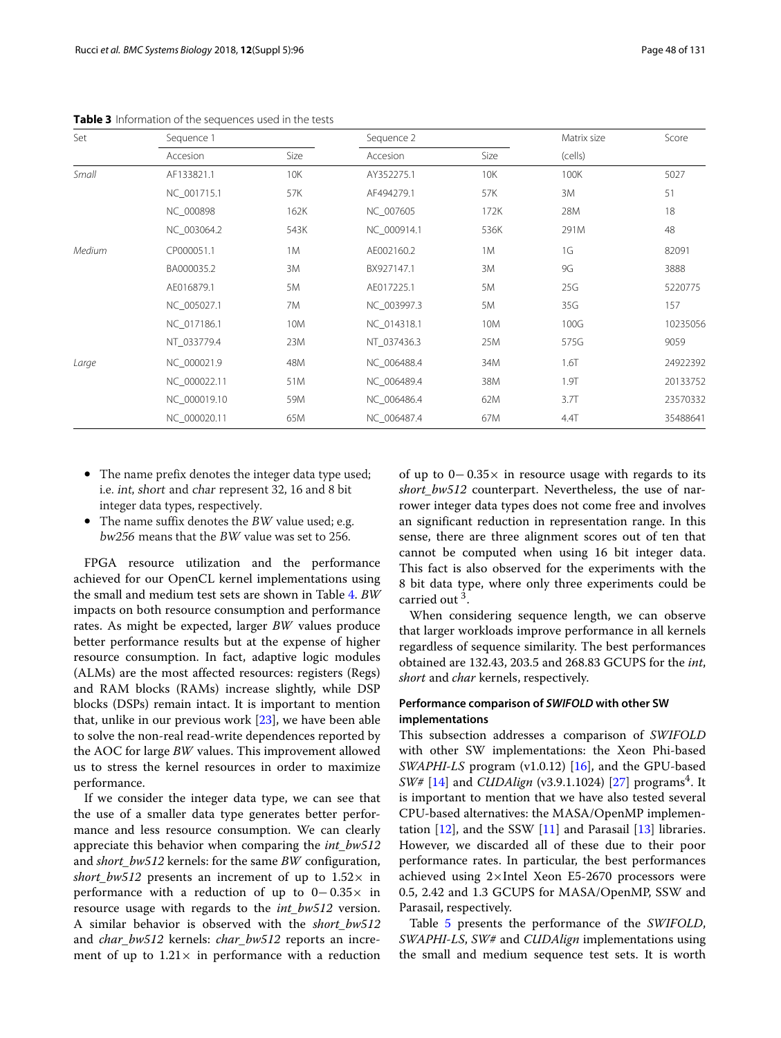| Set    | Sequence 1   |      | Sequence 2  |      | Matrix size | Score    |
|--------|--------------|------|-------------|------|-------------|----------|
|        | Accesion     | Size | Accesion    | Size | (cells)     |          |
| Small  | AF133821.1   | 10K  | AY352275.1  | 10K  | 100K        | 5027     |
|        | NC_001715.1  | 57K  | AF494279.1  | 57K  | 3M          | 51       |
|        | NC 000898    | 162K | NC 007605   | 172K | 28M         | 18       |
|        | NC_003064.2  | 543K | NC_000914.1 | 536K | 291M        | 48       |
| Medium | CP000051.1   | 1M   | AE002160.2  | 1M   | 1G          | 82091    |
|        | BA000035.2   | 3M   | BX927147.1  | 3M   | <b>9G</b>   | 3888     |
|        | AE016879.1   | 5M   | AE017225.1  | 5M   | 25G         | 5220775  |
|        | NC 005027.1  | 7M   | NC_003997.3 | 5M   | 35G         | 157      |
|        | NC 017186.1  | 10M  | NC 014318.1 | 10M  | 100G        | 10235056 |
|        | NT_033779.4  | 23M  | NT 037436.3 | 25M  | 575G        | 9059     |
| Large  | NC 000021.9  | 48M  | NC 006488.4 | 34M  | 1.6T        | 24922392 |
|        | NC 000022.11 | 51M  | NC 006489.4 | 38M  | 1.9T        | 20133752 |
|        | NC_000019.10 | 59M  | NC 006486.4 | 62M  | 3.7T        | 23570332 |
|        | NC_000020.11 | 65M  | NC 006487.4 | 67M  | 4.4T        | 35488641 |

<span id="page-5-0"></span>**Table 3** Information of the sequences used in the tests

- The name prefix denotes the integer data type used; i.e. int, short and char represent 32, 16 and 8 bit integer data types, respectively.
- The name suffix denotes the BW value used; e.g. bw256 means that the BW value was set to 256.

FPGA resource utilization and the performance achieved for our OpenCL kernel implementations using the small and medium test sets are shown in Table [4.](#page-6-0) *BW* impacts on both resource consumption and performance rates. As might be expected, larger *BW* values produce better performance results but at the expense of higher resource consumption. In fact, adaptive logic modules (ALMs) are the most affected resources: registers (Regs) and RAM blocks (RAMs) increase slightly, while DSP blocks (DSPs) remain intact. It is important to mention that, unlike in our previous work  $[23]$ , we have been able to solve the non-real read-write dependences reported by the AOC for large *BW* values. This improvement allowed us to stress the kernel resources in order to maximize performance.

If we consider the integer data type, we can see that the use of a smaller data type generates better performance and less resource consumption. We can clearly appreciate this behavior when comparing the *int\_bw512* and *short\_bw512* kernels: for the same *BW* configuration, *short* bw512 presents an increment of up to  $1.52\times$  in performance with a reduction of up to 0− 0.35× in resource usage with regards to the *int\_bw512* version. A similar behavior is observed with the *short\_bw512* and *char\_bw512* kernels: *char\_bw512* reports an increment of up to  $1.21 \times$  in performance with a reduction of up to 0− 0.35× in resource usage with regards to its *short\_bw512* counterpart. Nevertheless, the use of narrower integer data types does not come free and involves an significant reduction in representation range. In this sense, there are three alignment scores out of ten that cannot be computed when using 16 bit integer data. This fact is also observed for the experiments with the 8 bit data type, where only three experiments could be carried out 3.

When considering sequence length, we can observe that larger workloads improve performance in all kernels regardless of sequence similarity. The best performances obtained are 132.43, 203.5 and 268.83 GCUPS for the *int*, *short* and *char* kernels, respectively.

# **Performance comparison of** *SWIFOLD* **with other SW implementations**

This subsection addresses a comparison of *SWIFOLD* with other SW implementations: the Xeon Phi-based *SWAPHI-LS* program (v1.0.12) [\[16\]](#page-10-13), and the GPU-based *SW#* [\[14\]](#page-10-11) and *CUDAlign* (v3.9.1.1024) [\[27\]](#page-10-23) programs<sup>4</sup>. It is important to mention that we have also tested several CPU-based alternatives: the MASA/OpenMP implementation  $[12]$ , and the SSW  $[11]$  and Parasail  $[13]$  libraries. However, we discarded all of these due to their poor performance rates. In particular, the best performances achieved using 2×Intel Xeon E5-2670 processors were 0.5, 2.42 and 1.3 GCUPS for MASA/OpenMP, SSW and Parasail, respectively.

Table [5](#page-7-0) presents the performance of the *SWIFOLD*, *SWAPHI-LS*, *SW#* and *CUDAlign* implementations using the small and medium sequence test sets. It is worth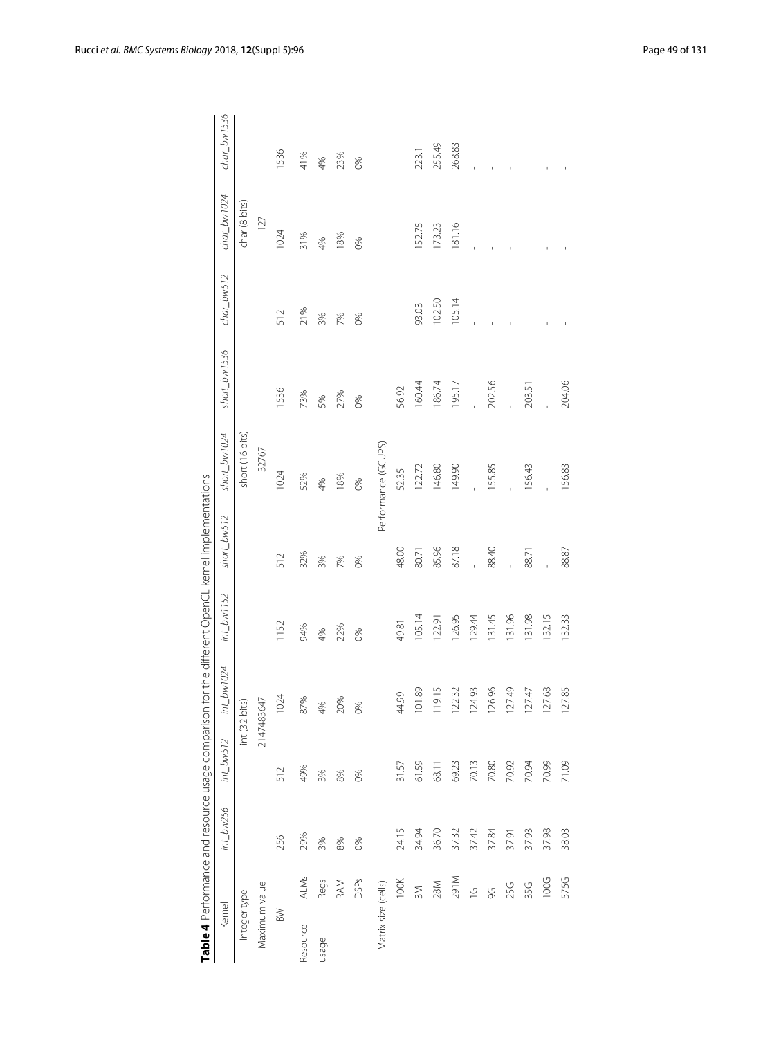|                     |             |           |              |                            |               | Table 4 Performance and resource usage comparison for the different OpenCL kernel implementations |                     |                   |                           |                |               |
|---------------------|-------------|-----------|--------------|----------------------------|---------------|---------------------------------------------------------------------------------------------------|---------------------|-------------------|---------------------------|----------------|---------------|
| Kernel              |             | int_bw256 | $int\_bws12$ | bw1024<br>$\overline{\mu}$ | $int\_bw1152$ | short_bw512                                                                                       | $short\_bw1024$     | $short_b$ bw 1536 | $char_1b$ <sub>V512</sub> | $char\_bw1024$ | $char_bw1536$ |
| Integer type        |             |           |              | int (32 bits)              |               |                                                                                                   | short (16 bits)     |                   |                           | char (8 bits)  |               |
| Maximum value       |             |           |              | 2147483647                 |               |                                                                                                   | 32767               |                   |                           | 127            |               |
| BW                  |             | 256       | 512          | 1024                       | 1152          | 512                                                                                               | 1024                | 1536              | 512                       | 1024           | 1536          |
| Resource            | ALMs        | 29%       | 49%          | 87%                        | 94%           | 32%                                                                                               | 52%                 | 73%               | 21%                       | 31%            | 41%           |
| usage               | Regs        | 3%        | 3%           | 4%                         | 4%            | 3%                                                                                                | 4%                  | 5%                | 3%                        | 4%             | 4%            |
|                     | RAM         | 8%        | 8%           | 20%                        | 22%           | 7%                                                                                                | 18%                 | 27%               | 7%                        | 18%            | 23%           |
|                     | DSPs        | 60%       | 0%           | 0%                         | 0%            | 0%                                                                                                | 0%                  | 0%                | 0%                        | 0%             | 0%            |
| Matrix size (cells) |             |           |              |                            |               |                                                                                                   | Performance (GCUPS) |                   |                           |                |               |
|                     | 100K        | 24.15     | 31.57        | 44.99                      | 49.81         | 48.00                                                                                             | 52.35               | 56.92             |                           |                |               |
|                     | 3M          | 34.94     | 61.59        | 89<br>101                  | 105.14        | 80.71                                                                                             | 122.72              | 160.44            | 93.03                     | 152.75         | 223.1         |
|                     | 28M         | 36.70     | 68.11        | 119.15                     | 122.91        | 85.96                                                                                             | 146.80              | 186.74            | 102.50                    | 173.23         | 255.49        |
|                     | <b>M162</b> | 37.32     | 69.23        | 122.32                     | 126.95        | 87.18                                                                                             | 149.90              | 195.17            | 105.14                    | 181.16         | 268.83        |
|                     | $\subseteq$ | 37.42     | 70.13        | 124.93                     | 129.44        |                                                                                                   |                     |                   |                           |                |               |
|                     | 9G          | 37.84     | 70.80        | 126.96                     | 131.45        | 88.40                                                                                             | 155.85              | 202.56            |                           |                |               |
|                     | 25G         | 37.91     | 70.92        | 127.49                     | 131.96        |                                                                                                   |                     |                   |                           |                |               |
|                     | 35G         | 37.93     | 70.94        | 127.47                     | 131.98        | 88.71                                                                                             | 156.43              | 203.51            |                           |                |               |
|                     | 100G        | 37.98     | 70.99        | 127.68                     | 132.15        |                                                                                                   |                     |                   |                           |                |               |
|                     | 575G        | 38.03     | 71.09        | 85<br>127                  | 132.33        | 88.87                                                                                             | 156.83              | 204.06            |                           |                |               |
|                     |             |           |              |                            |               |                                                                                                   |                     |                   |                           |                |               |

<span id="page-6-0"></span>

|   | ֖֖֖֧֖֧ׅ֧ׅ֖֖֧֚֚֚֚֚֚֚֚֚֚֚֚֚֚֚֚֚֚֚֚֚֚֚֚֚֚֡֝֝֝֬֝֓֬ |  |
|---|------------------------------------------------|--|
|   |                                                |  |
|   |                                                |  |
|   |                                                |  |
|   |                                                |  |
|   |                                                |  |
|   |                                                |  |
|   |                                                |  |
|   |                                                |  |
|   |                                                |  |
|   |                                                |  |
|   | J                                              |  |
| ί | J                                              |  |
|   |                                                |  |
|   | l                                              |  |
|   |                                                |  |
| I | ١                                              |  |
|   |                                                |  |
|   |                                                |  |
|   | ï                                              |  |
|   |                                                |  |
|   |                                                |  |
| i |                                                |  |
|   |                                                |  |
|   |                                                |  |
|   | ١                                              |  |
|   | ֕                                              |  |
|   |                                                |  |
|   | ١                                              |  |
|   |                                                |  |
|   |                                                |  |
|   |                                                |  |
|   |                                                |  |
|   |                                                |  |
|   |                                                |  |
|   |                                                |  |
|   |                                                |  |
|   |                                                |  |
|   |                                                |  |
|   | Ì<br>l                                         |  |
|   | I<br>١                                         |  |
|   | d<br>ï                                         |  |
|   | j                                              |  |
|   | l                                              |  |
|   | ١                                              |  |
|   | i                                              |  |
|   | l                                              |  |
|   |                                                |  |
|   |                                                |  |
|   | $\frac{1}{2}$                                  |  |
|   | I                                              |  |
|   | I<br>į                                         |  |
|   | ì                                              |  |
|   |                                                |  |
|   | Ī                                              |  |
|   |                                                |  |
|   | l                                              |  |
|   | I<br>l                                         |  |
|   |                                                |  |
|   |                                                |  |
|   |                                                |  |
|   | Ì                                              |  |
|   |                                                |  |
|   |                                                |  |
|   |                                                |  |
|   | ֠                                              |  |
| I |                                                |  |
|   | l<br>ś<br>I                                    |  |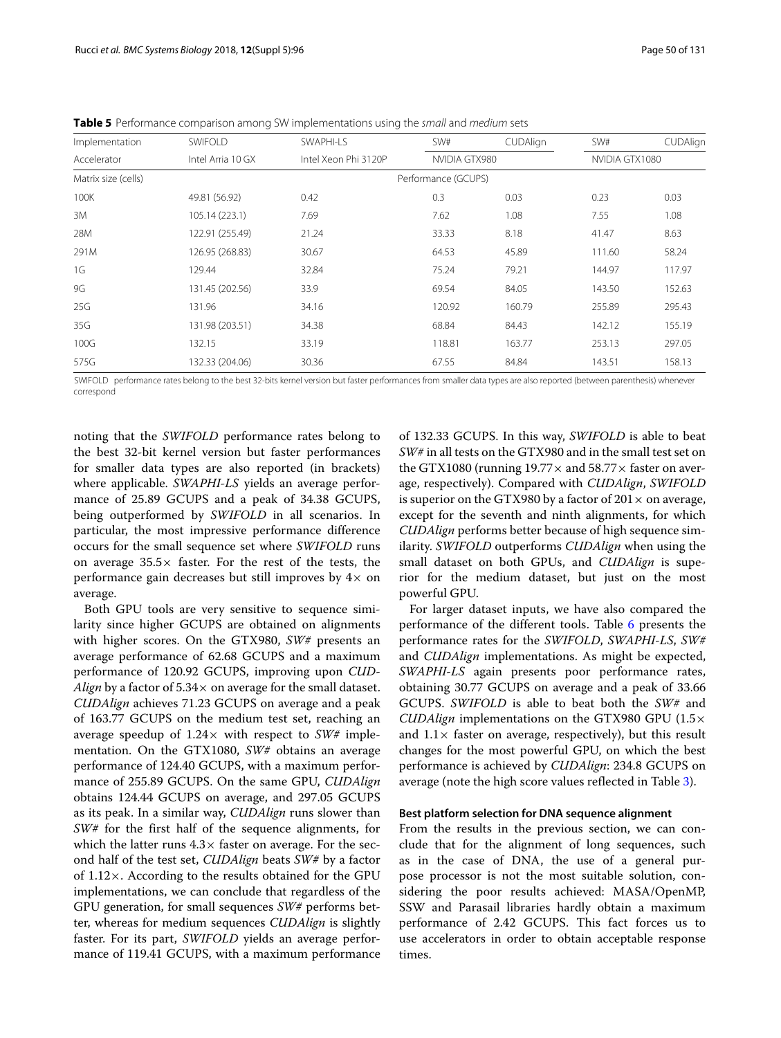|                     | ັ                 | ◡                    |                     |                 |                |          |
|---------------------|-------------------|----------------------|---------------------|-----------------|----------------|----------|
| Implementation      | <b>SWIFOLD</b>    | SWAPHI-LS            | SW#                 | <b>CUDAlign</b> | SW#            | CUDAlign |
| Accelerator         | Intel Arria 10 GX | Intel Xeon Phi 3120P | NVIDIA GTX980       |                 | NVIDIA GTX1080 |          |
| Matrix size (cells) |                   |                      | Performance (GCUPS) |                 |                |          |
| 100K                | 49.81 (56.92)     | 0.42                 | 0.3                 | 0.03            | 0.23           | 0.03     |
| 3M                  | 105.14 (223.1)    | 7.69                 | 7.62                | 1.08            | 7.55           | 1.08     |
| 28M                 | 122.91 (255.49)   | 21.24                | 33.33               | 8.18            | 41.47          | 8.63     |
| 291M                | 126.95 (268.83)   | 30.67                | 64.53               | 45.89           | 111.60         | 58.24    |
| 1G                  | 129.44            | 32.84                | 75.24               | 79.21           | 144.97         | 117.97   |
| 9G                  | 131.45 (202.56)   | 33.9                 | 69.54               | 84.05           | 143.50         | 152.63   |
| 25G                 | 131.96            | 34.16                | 120.92              | 160.79          | 255.89         | 295.43   |

<span id="page-7-0"></span>**Table 5** Performance comparison among SW implementations using the small and medium sets

575G 132.33 (204.06) 30.36 67.55 84.84 143.51 158.13 SWIFOLD performance rates belong to the best 32-bits kernel version but faster performances from smaller data types are also reported (between parenthesis) whenever correspond

35G 131.98 (203.51) 34.38 68.84 84.43 142.12 155.19 100G 132.15 33.19 118.81 163.77 253.13 297.05

noting that the *SWIFOLD* performance rates belong to the best 32-bit kernel version but faster performances for smaller data types are also reported (in brackets) where applicable. *SWAPHI-LS* yields an average performance of 25.89 GCUPS and a peak of 34.38 GCUPS, being outperformed by *SWIFOLD* in all scenarios. In particular, the most impressive performance difference occurs for the small sequence set where *SWIFOLD* runs on average  $35.5\times$  faster. For the rest of the tests, the performance gain decreases but still improves by  $4\times$  on average.

Both GPU tools are very sensitive to sequence similarity since higher GCUPS are obtained on alignments with higher scores. On the GTX980, *SW#* presents an average performance of 62.68 GCUPS and a maximum performance of 120.92 GCUPS, improving upon *CUD-Align* by a factor of  $5.34 \times$  on average for the small dataset. *CUDAlign* achieves 71.23 GCUPS on average and a peak of 163.77 GCUPS on the medium test set, reaching an average speedup of 1.24× with respect to *SW#* implementation. On the GTX1080, *SW#* obtains an average performance of 124.40 GCUPS, with a maximum performance of 255.89 GCUPS. On the same GPU, *CUDAlign* obtains 124.44 GCUPS on average, and 297.05 GCUPS as its peak. In a similar way, *CUDAlign* runs slower than *SW#* for the first half of the sequence alignments, for which the latter runs  $4.3\times$  faster on average. For the second half of the test set, *CUDAlign* beats *SW#* by a factor of 1.12×. According to the results obtained for the GPU implementations, we can conclude that regardless of the GPU generation, for small sequences *SW#* performs better, whereas for medium sequences *CUDAlign* is slightly faster. For its part, *SWIFOLD* yields an average performance of 119.41 GCUPS, with a maximum performance

of 132.33 GCUPS. In this way, *SWIFOLD* is able to beat *SW#* in all tests on the GTX980 and in the small test set on the GTX1080 (running  $19.77 \times$  and  $58.77 \times$  faster on average, respectively). Compared with *CUDAlign*, *SWIFOLD* is superior on the GTX980 by a factor of  $201 \times$  on average, except for the seventh and ninth alignments, for which *CUDAlign* performs better because of high sequence similarity. *SWIFOLD* outperforms *CUDAlign* when using the small dataset on both GPUs, and *CUDAlign* is superior for the medium dataset, but just on the most powerful GPU.

For larger dataset inputs, we have also compared the performance of the different tools. Table [6](#page-8-0) presents the performance rates for the *SWIFOLD*, *SWAPHI-LS*, *SW#* and *CUDAlign* implementations. As might be expected, *SWAPHI-LS* again presents poor performance rates, obtaining 30.77 GCUPS on average and a peak of 33.66 GCUPS. *SWIFOLD* is able to beat both the *SW#* and *CUDAlign* implementations on the GTX980 GPU (1.5× and  $1.1 \times$  faster on average, respectively), but this result changes for the most powerful GPU, on which the best performance is achieved by *CUDAlign*: 234.8 GCUPS on average (note the high score values reflected in Table [3\)](#page-5-0).

#### **Best platform selection for DNA sequence alignment**

From the results in the previous section, we can conclude that for the alignment of long sequences, such as in the case of DNA, the use of a general purpose processor is not the most suitable solution, considering the poor results achieved: MASA/OpenMP, SSW and Parasail libraries hardly obtain a maximum performance of 2.42 GCUPS. This fact forces us to use accelerators in order to obtain acceptable response times.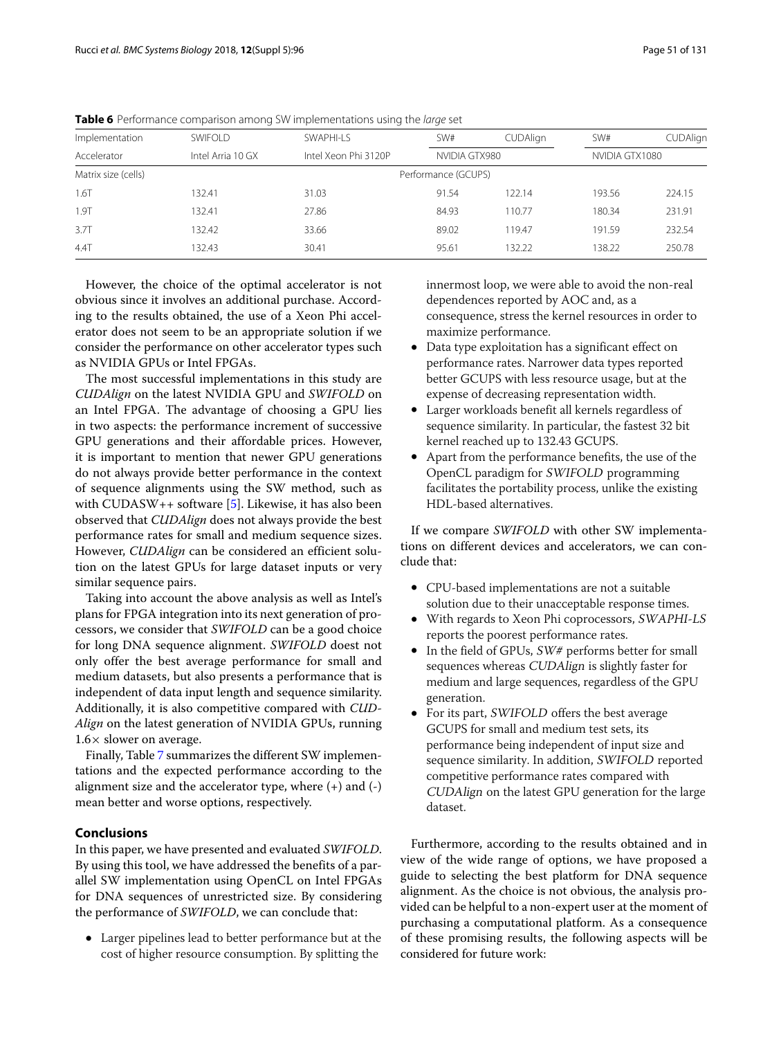| Implementation      | <b>SWIFOLD</b>    | SWAPHI-LS            | SW#                 | <b>CUDAlign</b> | SW#            | CUDAlign |
|---------------------|-------------------|----------------------|---------------------|-----------------|----------------|----------|
| Accelerator         | Intel Arria 10 GX | Intel Xeon Phi 3120P | NVIDIA GTX980       |                 | NVIDIA GTX1080 |          |
| Matrix size (cells) |                   |                      | Performance (GCUPS) |                 |                |          |
| 1.6T                | 132.41            | 31.03                | 91.54               | 122.14          | 193.56         | 224.15   |
| 1.9T                | 132.41            | 27.86                | 84.93               | 110.77          | 180.34         | 231.91   |
| 3.7T                | 132.42            | 33.66                | 89.02               | 119.47          | 191.59         | 232.54   |
| 4.4T                | 132.43            | 30.41                | 95.61               | 132.22          | 138.22         | 250.78   |
|                     |                   |                      |                     |                 |                |          |

<span id="page-8-0"></span>**Table 6** Performance comparison among SW implementations using the large set

However, the choice of the optimal accelerator is not obvious since it involves an additional purchase. According to the results obtained, the use of a Xeon Phi accelerator does not seem to be an appropriate solution if we consider the performance on other accelerator types such as NVIDIA GPUs or Intel FPGAs.

The most successful implementations in this study are *CUDAlign* on the latest NVIDIA GPU and *SWIFOLD* on an Intel FPGA. The advantage of choosing a GPU lies in two aspects: the performance increment of successive GPU generations and their affordable prices. However, it is important to mention that newer GPU generations do not always provide better performance in the context of sequence alignments using the SW method, such as with  $\text{CUDASW++ software}$  [\[5\]](#page-10-3). Likewise, it has also been observed that *CUDAlign* does not always provide the best performance rates for small and medium sequence sizes. However, *CUDAlign* can be considered an efficient solution on the latest GPUs for large dataset inputs or very similar sequence pairs.

Taking into account the above analysis as well as Intel's plans for FPGA integration into its next generation of processors, we consider that *SWIFOLD* can be a good choice for long DNA sequence alignment. *SWIFOLD* doest not only offer the best average performance for small and medium datasets, but also presents a performance that is independent of data input length and sequence similarity. Additionally, it is also competitive compared with *CUD-Align* on the latest generation of NVIDIA GPUs, running  $1.6\times$  slower on average.

Finally, Table [7](#page-9-1) summarizes the different SW implementations and the expected performance according to the alignment size and the accelerator type, where (+) and (-) mean better and worse options, respectively.

# **Conclusions**

In this paper, we have presented and evaluated *SWIFOLD*. By using this tool, we have addressed the benefits of a parallel SW implementation using OpenCL on Intel FPGAs for DNA sequences of unrestricted size. By considering the performance of *SWIFOLD*, we can conclude that:

• Larger pipelines lead to better performance but at the cost of higher resource consumption. By splitting the

innermost loop, we were able to avoid the non-real dependences reported by AOC and, as a consequence, stress the kernel resources in order to maximize performance.

- Data type exploitation has a significant effect on performance rates. Narrower data types reported better GCUPS with less resource usage, but at the expense of decreasing representation width.
- Larger workloads benefit all kernels regardless of sequence similarity. In particular, the fastest 32 bit kernel reached up to 132.43 GCUPS.
- Apart from the performance benefits, the use of the OpenCL paradigm for SWIFOLD programming facilitates the portability process, unlike the existing HDL-based alternatives.

If we compare *SWIFOLD* with other SW implementations on different devices and accelerators, we can conclude that:

- CPU-based implementations are not a suitable solution due to their unacceptable response times.
- With regards to Xeon Phi coprocessors, SWAPHI-LS reports the poorest performance rates.
- In the field of GPUs, SW# performs better for small sequences whereas CUDAlign is slightly faster for medium and large sequences, regardless of the GPU generation.
- For its part, SWIFOLD offers the best average GCUPS for small and medium test sets, its performance being independent of input size and sequence similarity. In addition, SWIFOLD reported competitive performance rates compared with CUDAlign on the latest GPU generation for the large dataset.

Furthermore, according to the results obtained and in view of the wide range of options, we have proposed a guide to selecting the best platform for DNA sequence alignment. As the choice is not obvious, the analysis provided can be helpful to a non-expert user at the moment of purchasing a computational platform. As a consequence of these promising results, the following aspects will be considered for future work: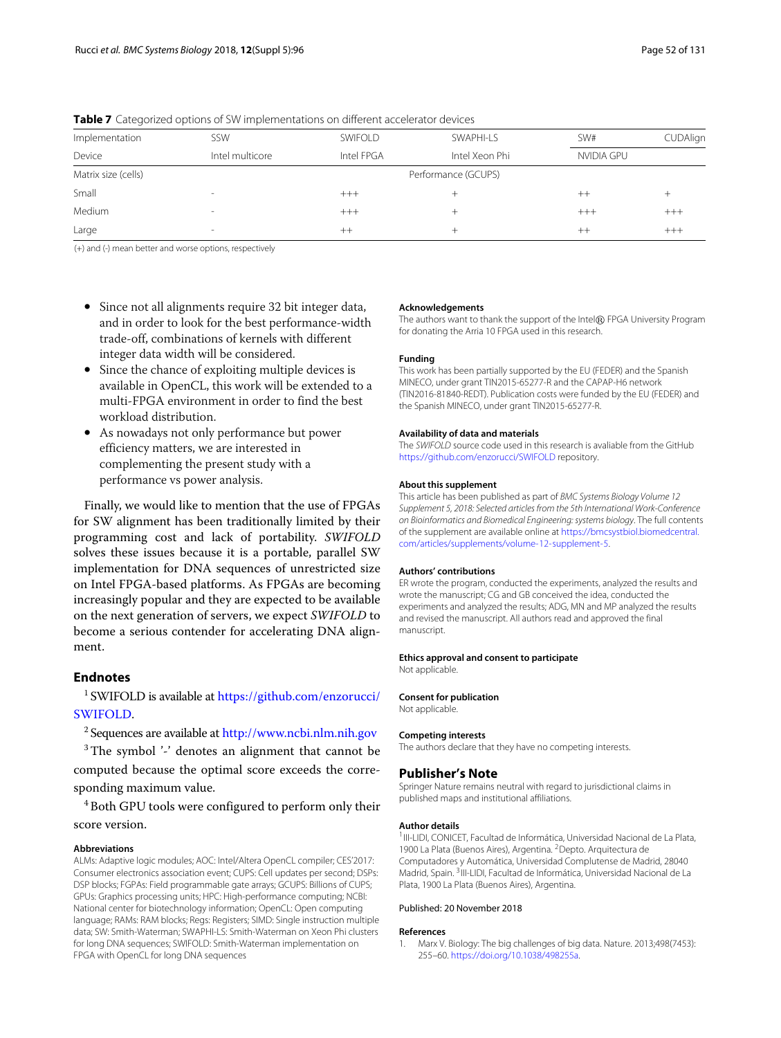| Implementation      | SSW                      | SWIFOLD    | SWAPHI-LS           | SW#        | CUDAlign |
|---------------------|--------------------------|------------|---------------------|------------|----------|
| Device              | Intel multicore          | Intel FPGA | Intel Xeon Phi      | NVIDIA GPU |          |
| Matrix size (cells) |                          |            | Performance (GCUPS) |            |          |
| Small               | $\overline{\phantom{a}}$ | $^{+++}$   |                     | $++$       | $^+$     |
| Medium              | $\overline{\phantom{a}}$ | $^{+++}$   |                     | $^{+++}$   | $^{+++}$ |
| Large               | $\overline{\phantom{a}}$ | $^{++}$    | +                   | $^{++}$    | $^{+++}$ |

<span id="page-9-1"></span>**Table 7** Categorized options of SW implementations on different accelerator devices

(+) and (-) mean better and worse options, respectively

- Since not all alignments require 32 bit integer data, and in order to look for the best performance-width trade-off, combinations of kernels with different integer data width will be considered.
- Since the chance of exploiting multiple devices is available in OpenCL, this work will be extended to a multi-FPGA environment in order to find the best workload distribution.
- As nowadays not only performance but power efficiency matters, we are interested in complementing the present study with a performance vs power analysis.

Finally, we would like to mention that the use of FPGAs for SW alignment has been traditionally limited by their programming cost and lack of portability. *SWIFOLD* solves these issues because it is a portable, parallel SW implementation for DNA sequences of unrestricted size on Intel FPGA-based platforms. As FPGAs are becoming increasingly popular and they are expected to be available on the next generation of servers, we expect *SWIFOLD* to become a serious contender for accelerating DNA alignment.

# **Endnotes**

<sup>1</sup> SWIFOLD is available at [https://github.com/enzorucci/](https://github.com/enzorucci/SWIFOLD) [SWIFOLD.](https://github.com/enzorucci/SWIFOLD)

<sup>2</sup> Sequences are available at <http://www.ncbi.nlm.nih.gov>

<sup>3</sup>The symbol '-' denotes an alignment that cannot be computed because the optimal score exceeds the corresponding maximum value.

<sup>4</sup> Both GPU tools were configured to perform only their score version.

#### **Abbreviations**

ALMs: Adaptive logic modules; AOC: Intel/Altera OpenCL compiler; CES'2017: Consumer electronics association event; CUPS: Cell updates per second; DSPs: DSP blocks; FGPAs: Field programmable gate arrays; GCUPS: Billions of CUPS; GPUs: Graphics processing units; HPC: High-performance computing; NCBI: National center for biotechnology information; OpenCL: Open computing language; RAMs: RAM blocks; Regs: Registers; SIMD: Single instruction multiple data; SW: Smith-Waterman; SWAPHI-LS: Smith-Waterman on Xeon Phi clusters for long DNA sequences; SWIFOLD: Smith-Waterman implementation on FPGA with OpenCL for long DNA sequences

#### **Acknowledgements**

The authors want to thank the support of the Intel $\circledR$  FPGA University Program for donating the Arria 10 FPGA used in this research.

#### **Funding**

This work has been partially supported by the EU (FEDER) and the Spanish MINECO, under grant TIN2015-65277-R and the CAPAP-H6 network (TIN2016-81840-REDT). Publication costs were funded by the EU (FEDER) and the Spanish MINECO, under grant TIN2015-65277-R.

#### **Availability of data and materials**

The SWIFOLD source code used in this research is avaliable from the GitHub <https://github.com/enzorucci/SWIFOLD> repository.

#### **About this supplement**

This article has been published as part of BMC Systems Biology Volume 12 Supplement 5, 2018: Selected articles from the 5th International Work-Conference on Bioinformatics and Biomedical Engineering: systems biology. The full contents of the supplement are available online at [https://bmcsystbiol.biomedcentral.](https://bmcsystbiol.biomedcentral.com/articles/supplements/volume-12-supplement-5) [com/articles/supplements/volume-12-supplement-5.](https://bmcsystbiol.biomedcentral.com/articles/supplements/volume-12-supplement-5)

#### **Authors' contributions**

ER wrote the program, conducted the experiments, analyzed the results and wrote the manuscript; CG and GB conceived the idea, conducted the experiments and analyzed the results; ADG, MN and MP analyzed the results and revised the manuscript. All authors read and approved the final manuscript.

#### **Ethics approval and consent to participate**

Not applicable.

#### **Consent for publication**

Not applicable.

#### **Competing interests**

The authors declare that they have no competing interests.

#### **Publisher's Note**

Springer Nature remains neutral with regard to jurisdictional claims in published maps and institutional affiliations.

#### **Author details**

<sup>1</sup> III-LIDI, CONICET, Facultad de Informática, Universidad Nacional de La Plata, 1900 La Plata (Buenos Aires), Argentina. 2Depto. Arquitectura de Computadores y Automática, Universidad Complutense de Madrid, 28040 Madrid, Spain. 3III-LIDI, Facultad de Informática, Universidad Nacional de La Plata, 1900 La Plata (Buenos Aires), Argentina.

#### Published: 20 November 2018

#### **References**

<span id="page-9-0"></span>1. Marx V. Biology: The big challenges of big data. Nature. 2013;498(7453): 255–60. [https://doi.org/10.1038/498255a.](https://doi.org/10.1038/498255a)